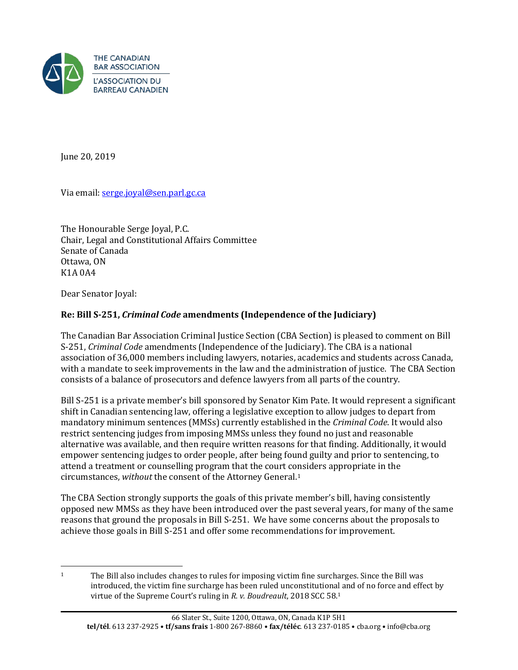

June 20, 2019

Via email: [serge.joyal@sen.parl.gc.ca](mailto:serge.joyal@sen.parl.gc.ca)

The Honourable Serge Joyal, P.C. Chair, Legal and Constitutional Affairs Committee Senate of Canada Ottawa, ON K1A 0A4

Dear Senator Joyal:

# **Re: Bill S-251,** *Criminal Code* **amendments (Independence of the Judiciary)**

The Canadian Bar Association Criminal Justice Section (CBA Section) is pleased to comment on Bill S-251, *Criminal Code* amendments (Independence of the Judiciary). The CBA is a national association of 36,000 members including lawyers, notaries, academics and students across Canada, with a mandate to seek improvements in the law and the administration of justice. The CBA Section consists of a balance of prosecutors and defence lawyers from all parts of the country.

Bill S-251 is a private member's bill sponsored by Senator Kim Pate. It would represent a significant shift in Canadian sentencing law, offering a legislative exception to allow judges to depart from mandatory minimum sentences (MMSs) currently established in the *Criminal Code*. It would also restrict sentencing judges from imposing MMSs unless they found no just and reasonable alternative was available, and then require written reasons for that finding. Additionally, it would empower sentencing judges to order people, after being found guilty and prior to sentencing, to attend a treatment or counselling program that the court co[n](#page-0-0)siders appropriate in the circumstances, *without* the consent of the Attorney General.1

The CBA Section strongly supports the goals of this private member's bill, having consistently opposed new MMSs as they have been introduced over the past several years, for many of the same reasons that ground the proposals in Bill S-251. We have some concerns about the proposals to achieve those goals in Bill S-251 and offer some recommendations for improvement.

<span id="page-0-0"></span> $\overline{a}$ <sup>1</sup> The Bill also includes changes to rules for imposing victim fine surcharges. Since the Bill was introduced, the victim fine surcharge has been ruled unconstitutional and of no force and effect by virtue of the Supreme Court's ruling in *R. v. Boudreault*, 2018 SCC 58.1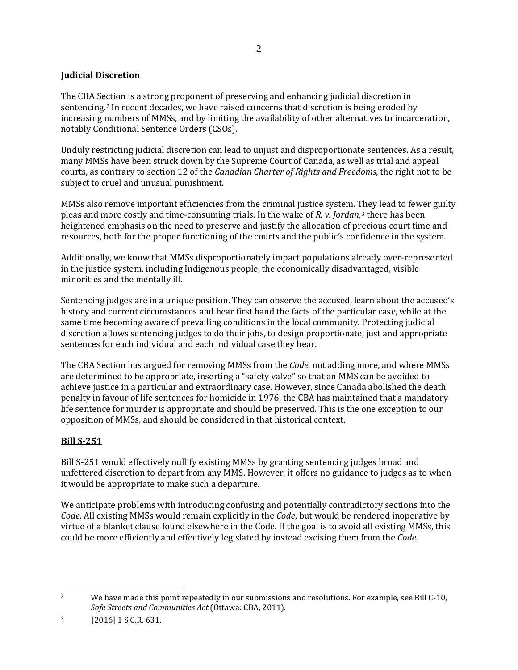### **Judicial Discretion**

The CBA Se[c](#page-1-0)tion is a strong proponent of preserving and enhancing judicial discretion in sentencing.<sup>2</sup> In recent decades, we have raised concerns that discretion is being eroded by increasing numbers of MMSs, and by limiting the availability of other alternatives to incarceration, notably Conditional Sentence Orders (CSOs).

Unduly restricting judicial discretion can lead to unjust and disproportionate sentences. As a result, many MMSs have been struck down by the Supreme Court of Canada, as well as trial and appeal courts, as contrary to section 12 of the *Canadian Charter of Rights and Freedoms*, the right not to be subject to cruel and unusual punishment.

MMSs also remove important efficiencies from the criminal justice system. They lead to fewer guilty pleas and more costly and time-consuming trials. In the wake of *R. v. Jordan*,[3](#page-1-1) there has been heightened emphasis on the need to preserve and justify the allocation of precious court time and resources, both for the proper functioning of the courts and the public's confidence in the system.

Additionally, we know that MMSs disproportionately impact populations already over-represented in the justice system, including Indigenous people, the economically disadvantaged, visible minorities and the mentally ill.

Sentencing judges are in a unique position. They can observe the accused, learn about the accused's history and current circumstances and hear first hand the facts of the particular case, while at the same time becoming aware of prevailing conditions in the local community. Protecting judicial discretion allows sentencing judges to do their jobs, to design proportionate, just and appropriate sentences for each individual and each individual case they hear.

The CBA Section has argued for removing MMSs from the *Code*, not adding more, and where MMSs are determined to be appropriate, inserting a "safety valve" so that an MMS can be avoided to achieve justice in a particular and extraordinary case. However, since Canada abolished the death penalty in favour of life sentences for homicide in 1976, the CBA has maintained that a mandatory life sentence for murder is appropriate and should be preserved. This is the one exception to our opposition of MMSs, and should be considered in that historical context.

### **Bill S-251**

Bill S-251 would effectively nullify existing MMSs by granting sentencing judges broad and unfettered discretion to depart from any MMS. However, it offers no guidance to judges as to when it would be appropriate to make such a departure.

We anticipate problems with introducing confusing and potentially contradictory sections into the *Code*. All existing MMSs would remain explicitly in the *Code*, but would be rendered inoperative by virtue of a blanket clause found elsewhere in the Code. If the goal is to avoid all existing MMSs, this could be more efficiently and effectively legislated by instead excising them from the *Code*.

<span id="page-1-0"></span> $\overline{a}$ <sup>2</sup> We have made this point repeatedly in our submissions and resolutions. For example, see Bill C-10, *Safe Streets and Communities Act* (Ottawa: CBA, 2011).

<span id="page-1-1"></span><sup>3</sup> [2016] 1 S.C.R. 631.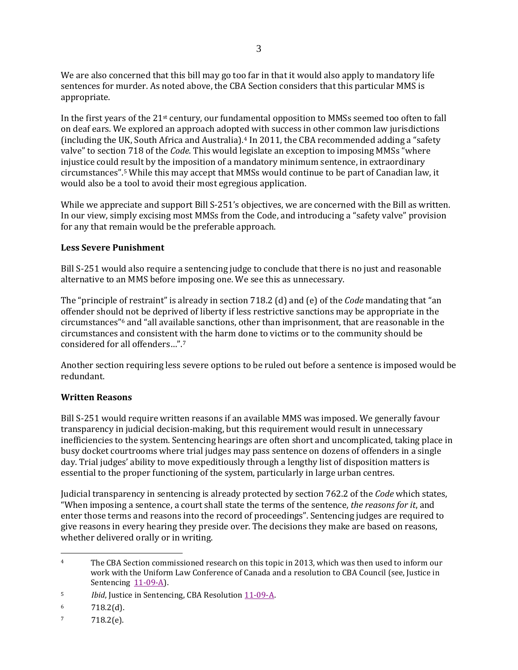We are also concerned that this bill may go too far in that it would also apply to mandatory life sentences for murder. As noted above, the CBA Section considers that this particular MMS is appropriate.

In the first years of the 21st century, our fundamental opposition to MMSs seemed too often to fall on deaf ears. We explored an approach adopted with success in other common law jurisdictions (including the UK, South Africa and Australia).[4](#page-2-0) In 2011, the CBA recommended adding a "safety valve" to section 718 of the *Code*. This would legislate an exception to imposing MMSs "where injustice could result by the imposition of a mandatory minimum sentence, in extraordinary circumstances".[5](#page-2-1) While this may accept that MMSs would continue to be part of Canadian law, it would also be a tool to avoid their most egregious application.

While we appreciate and support Bill S-251's objectives, we are concerned with the Bill as written. In our view, simply excising most MMSs from the Code, and introducing a "safety valve" provision for any that remain would be the preferable approach.

#### **Less Severe Punishment**

Bill S-251 would also require a sentencing judge to conclude that there is no just and reasonable alternative to an MMS before imposing one. We see this as unnecessary.

The "principle of restraint" is already in section 718.2 (d) and (e) of the *Code* mandating that "an offender should not be deprived of liberty if less restrictive sanctions may be appropriate in the circumstances"[6](#page-2-2) and "all available sanctions, other than imprisonment, that are reasonable in the circumstances and consistent with the harm done to victims or to the community should be considered for all offenders…".[7](#page-2-3)

Another section requiring less severe options to be ruled out before a sentence is imposed would be redundant.

### **Written Reasons**

Bill S-251 would require written reasons if an available MMS was imposed. We generally favour transparency in judicial decision-making, but this requirement would result in unnecessary inefficiencies to the system. Sentencing hearings are often short and uncomplicated, taking place in busy docket courtrooms where trial judges may pass sentence on dozens of offenders in a single day. Trial judges' ability to move expeditiously through a lengthy list of disposition matters is essential to the proper functioning of the system, particularly in large urban centres.

Judicial transparency in sentencing is already protected by section 762.2 of the *Code* which states, "When imposing a sentence, a court shall state the terms of the sentence, *the reasons for it*, and enter those terms and reasons into the record of proceedings". Sentencing judges are required to give reasons in every hearing they preside over. The decisions they make are based on reasons, whether delivered orally or in writing.

<span id="page-2-0"></span> $\overline{a}$ <sup>4</sup> The CBA Section commissioned research on this topic in 2013, which was then used to inform our work with the Uniform Law Conference of Canada and a resolution to CBA Council (see, Justice in Sentencing [11-09-A\)](http://www.cba.org/Our-Work/Resolutions/Resolutions/2011/Justice-in-Sentencing).

<span id="page-2-1"></span><sup>&</sup>lt;sup>5</sup> *Ibid*, Justice in Sentencing, CBA Resolution [11-09-A.](http://www.cba.org/Our-Work/Resolutions/Resolutions/2011/Justice-in-Sentencing)

<span id="page-2-2"></span> $6$  718.2(d).

<span id="page-2-3"></span> $7 \t 718.2(e).$